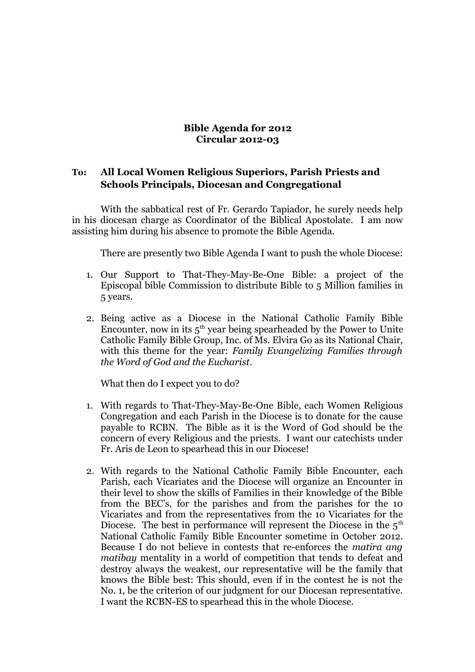## **Bible Agenda for 2012 Circular 2012-03**

## **To: All Local Women Religious Superiors, Parish Priests and Schools Principals, Diocesan and Congregational**

With the sabbatical rest of Fr. Gerardo Tapiador, he surely needs help in his diocesan charge as Coordinator of the Biblical Apostolate. I am now assisting him during his absence to promote the Bible Agenda.

There are presently two Bible Agenda I want to push the whole Diocese:

- 1. Our Support to That-They-May-Be-One Bible: a project of the Episcopal bible Commission to distribute Bible to 5 Million families in 5 years.
- 2. Being active as a Diocese in the National Catholic Family Bible Encounter, now in its  $5<sup>th</sup>$  year being spearheaded by the Power to Unite Catholic Family Bible Group, Inc. of Ms. Elvira Go as its National Chair, with this theme for the year: *Family Evangelizing Families through the Word of God and the Eucharist*.

What then do I expect you to do?

- 1. With regards to That-They-May-Be-One Bible, each Women Religious Congregation and each Parish in the Diocese is to donate for the cause payable to RCBN. The Bible as it is the Word of God should be the concern of every Religious and the priests. I want our catechists under Fr. Aris de Leon to spearhead this in our Diocese!
- 2. With regards to the National Catholic Family Bible Encounter, each Parish, each Vicariates and the Diocese will organize an Encounter in their level to show the skills of Families in their knowledge of the Bible from the BEC's, for the parishes and from the parishes for the 10 Vicariates and from the representatives from the 10 Vicariates for the Diocese. The best in performance will represent the Diocese in the  $5<sup>th</sup>$ National Catholic Family Bible Encounter sometime in October 2012. Because I do not believe in contests that re-enforces the *matira ang matibay* mentality in a world of competition that tends to defeat and destroy always the weakest, our representative will be the family that knows the Bible best: This should, even if in the contest he is not the No. 1, be the criterion of our judgment for our Diocesan representative. I want the RCBN-ES to spearhead this in the whole Diocese.